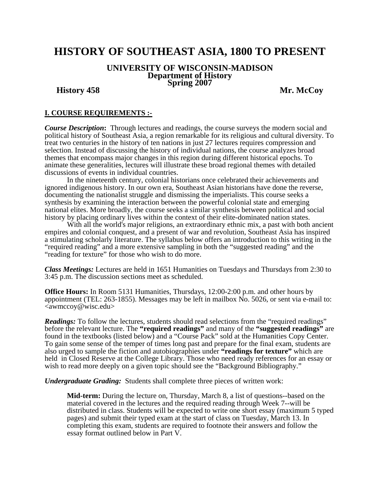## **HISTORY OF SOUTHEAST ASIA, 1800 TO PRESENT**

# **UNIVERSITY OF WISCONSIN-MADISON Department of History Spring 2007 History 458 Mr. McCoy**

#### **I. COURSE REQUIREMENTS :-**

*Course Description***:** Through lectures and readings, the course surveys the modern social and political history of Southeast Asia, a region remarkable for its religious and cultural diversity. To treat two centuries in the history of ten nations in just 27 lectures requires compression and selection. Instead of discussing the history of individual nations, the course analyzes broad themes that encompass major changes in this region during different historical epochs. To animate these generalities, lectures will illustrate these broad regional themes with detailed discussions of events in individual countries.

 In the nineteenth century, colonial historians once celebrated their achievements and ignored indigenous history. In our own era, Southeast Asian historians have done the reverse, documenting the nationalist struggle and dismissing the imperialists. This course seeks a synthesis by examining the interaction between the powerful colonial state and emerging national elites. More broadly, the course seeks a similar synthesis between political and social history by placing ordinary lives within the context of their elite-dominated nation states.

With all the world's major religions, an extraordinary ethnic mix, a past with both ancient empires and colonial conquest, and a present of war and revolution, Southeast Asia has inspired a stimulating scholarly literature. The syllabus below offers an introduction to this writing in the "required reading" and a more extensive sampling in both the "suggested reading" and the "reading for texture" for those who wish to do more.

*Class Meetings:* Lectures are held in 1651 Humanities on Tuesdays and Thursdays from 2:30 to 3:45 p.m. The discussion sections meet as scheduled.

**Office Hours:** In Room 5131 Humanities, Thursdays, 12:00-2:00 p.m. and other hours by appointment (TEL: 263-1855). Messages may be left in mailbox No. 5026, or sent via e-mail to:  $\langle$ awmccoy@wisc.edu $\rangle$ 

**Readings:** To follow the lectures, students should read selections from the "required readings" before the relevant lecture. The **"required readings"** and many of the **"suggested readings"** are found in the textbooks (listed below) and a "Course Pack" sold at the Humanities Copy Center. To gain some sense of the temper of times long past and prepare for the final exam, students are also urged to sample the fiction and autobiographies under **"readings for texture"** which are held in Closed Reserve at the College Library. Those who need ready references for an essay or wish to read more deeply on a given topic should see the "Background Bibliography."

*Undergraduate Grading:* Students shall complete three pieces of written work:

**Mid-term:** During the lecture on, Thursday, March 8, a list of questions--based on the material covered in the lectures and the required reading through Week 7--will be distributed in class. Students will be expected to write one short essay (maximum 5 typed pages) and submit their typed exam at the start of class on Tuesday, March 13. In completing this exam, students are required to footnote their answers and follow the essay format outlined below in Part V.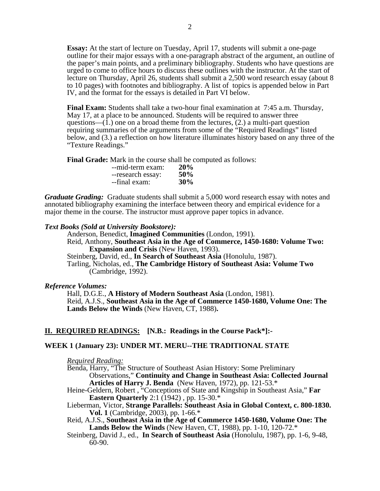**Essay:** At the start of lecture on Tuesday, April 17, students will submit a one-page outline for their major essays with a one-paragraph abstract of the argument, an outline of the paper's main points, and a preliminary bibliography. Students who have questions are urged to come to office hours to discuss these outlines with the instructor. At the start of lecture on Thursday, April 26, students shall submit a 2,500 word research essay (about 8 to 10 pages) with footnotes and bibliography. A list of topics is appended below in Part IV, and the format for the essays is detailed in Part VI below.

**Final Exam:** Students shall take a two-hour final examination at 7:45 a.m. Thursday, May 17, at a place to be announced. Students will be required to answer three questions— $(1)$  one on a broad theme from the lectures,  $(2)$  a multi-part question requiring summaries of the arguments from some of the "Required Readings" listed below, and (3.) a reflection on how literature illuminates history based on any three of the "Texture Readings."

**Final Grade:** Mark in the course shall be computed as follows:

| --mid-term exam:  | <b>20%</b> |
|-------------------|------------|
| --research essay: | 50%        |
| --final exam:     | 30%        |

*Graduate Grading:* Graduate students shall submit a 5,000 word research essay with notes and annotated bibliography examining the interface between theory and empirical evidence for a major theme in the course. The instructor must approve paper topics in advance.

#### *Text Books (Sold at University Bookstore):*

Anderson, Benedict, **Imagined Communities** (London, 1991). Reid, Anthony, **Southeast Asia in the Age of Commerce, 1450-1680: Volume Two: Expansion and Crisis** (New Haven, 1993).

Steinberg, David, ed., **In Search of Southeast Asia** (Honolulu, 1987).

Tarling, Nicholas, ed., **The Cambridge History of Southeast Asia: Volume Two**  (Cambridge, 1992).

#### *Reference Volumes:*

Hall, D.G.E., **A History of Modern Southeast Asia** (London, 1981). Reid, A.J.S., **Southeast Asia in the Age of Commerce 1450-1680, Volume One: The Lands Below the Winds** (New Haven, CT, 1988)**.** 

#### **II. REQUIRED READINGS: [N.B.: Readings in the Course Pack\*]:-**

#### **WEEK 1 (January 23): UNDER MT. MERU--THE TRADITIONAL STATE**

*Required Reading:*

Benda, Harry, "The Structure of Southeast Asian History: Some Preliminary Observations," **Continuity and Change in Southeast Asia: Collected Journal Articles of Harry J. Benda** (New Haven, 1972), pp. 121-53.\*

Heine-Geldern, Robert , "Conceptions of State and Kingship in Southeast Asia," **Far Eastern Quarterly** 2:1 (1942) , pp. 15-30.\*

Lieberman, Victor, **Strange Parallels: Southeast Asia in Global Context, c. 800-1830. Vol. 1** (Cambridge, 2003), pp. 1-66.\*

- Reid, A.J.S., **Southeast Asia in the Age of Commerce 1450-1680, Volume One: The Lands Below the Winds** (New Haven, CT, 1988), pp. 1-10, 120-72.\*
- Steinberg, David J., ed., **In Search of Southeast Asia** (Honolulu, 1987), pp. 1-6, 9-48, 60-90.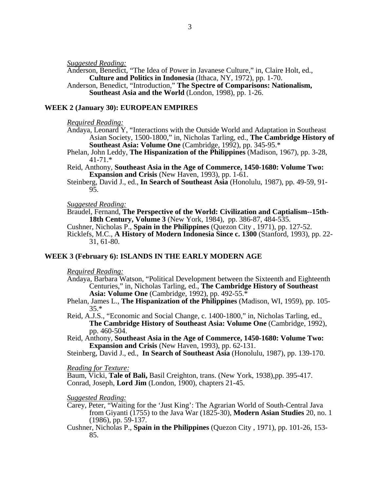*Suggested Reading:* 

Anderson, Benedict, "The Idea of Power in Javanese Culture," in, Claire Holt, ed., **Culture and Politics in Indonesia** (Ithaca, NY, 1972), pp. 1-70.

Anderson, Benedict, "Introduction," **The Spectre of Comparisons: Nationalism, Southeast Asia and the World** (London, 1998), pp. 1-26.

#### **WEEK 2 (January 30): EUROPEAN EMPIRES**

#### *Required Reading:*

- Andaya, Leonard Y, "Interactions with the Outside World and Adaptation in Southeast Asian Society, 1500-1800," in, Nicholas Tarling, ed., **The Cambridge History of Southeast Asia: Volume One** (Cambridge, 1992), pp. 345-95.\*
- Phelan, John Leddy, **The Hispanization of the Philippines** (Madison, 1967), pp. 3-28, 41-71.\*
- Reid, Anthony, **Southeast Asia in the Age of Commerce, 1450-1680: Volume Two: Expansion and Crisis** (New Haven, 1993), pp. 1-61.
- Steinberg, David J., ed., **In Search of Southeast Asia** (Honolulu, 1987), pp. 49-59, 91- 95.

*Suggested Reading:* 

Braudel, Fernand, **The Perspective of the World: Civilization and Captialism--15th-18th Century, Volume 3** (New York, 1984), pp. 386-87, 484-535.

- Cushner, Nicholas P., **Spain in the Philippines** (Quezon City , 1971), pp. 127-52.
- Ricklefs, M.C., **A History of Modern Indonesia Since c. 1300** (Stanford, 1993), pp. 22- 31, 61-80.

#### **WEEK 3 (February 6): ISLANDS IN THE EARLY MODERN AGE**

*Required Reading:*

- Andaya, Barbara Watson, "Political Development between the Sixteenth and Eighteenth Centuries," in, Nicholas Tarling, ed., **The Cambridge History of Southeast Asia: Volume One** (Cambridge, 1992), pp. 492-55.\*
- Phelan, James L., **The Hispanization of the Philippines** (Madison, WI, 1959), pp. 105- 35.\*
- Reid, A.J.S., "Economic and Social Change, c. 1400-1800," in, Nicholas Tarling, ed., **The Cambridge History of Southeast Asia: Volume One** (Cambridge, 1992), pp. 460-504.
- Reid, Anthony, **Southeast Asia in the Age of Commerce, 1450-1680: Volume Two: Expansion and Crisis** (New Haven, 1993), pp. 62-131.

Steinberg, David J., ed., **In Search of Southeast Asia** (Honolulu, 1987), pp. 139-170.

*Reading for Texture:* 

Baum, Vicki, **Tale of Bali,** Basil Creighton, trans. (New York, 1938),pp. 395-417. Conrad, Joseph, **Lord Jim** (London, 1900), chapters 21-45.

*Suggested Reading:* 

- Carey, Peter, "Waiting for the 'Just King': The Agrarian World of South-Central Java from Giyanti (1755) to the Java War (1825-30), **Modern Asian Studies** 20, no. 1 (1986), pp. 59-137.
- Cushner, Nicholas P., **Spain in the Philippines** (Quezon City , 1971), pp. 101-26, 153- 85.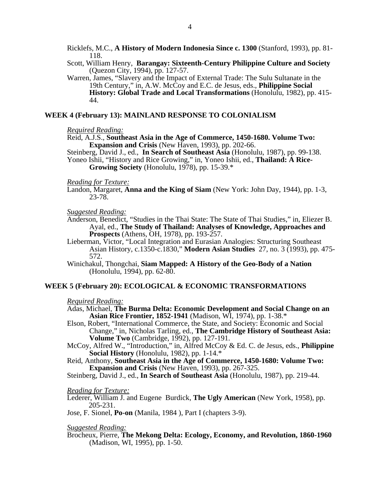Ricklefs, M.C., **A History of Modern Indonesia Since c. 1300** (Stanford, 1993), pp. 81- 118.

Scott, William Henry, **Barangay: Sixteenth-Century Philippine Culture and Society** (Quezon City, 1994), pp. 127-57.

Warren, James, "Slavery and the Impact of External Trade: The Sulu Sultanate in the 19th Century," in, A.W. McCoy and E.C. de Jesus, eds., **Philippine Social History: Global Trade and Local Transformations** (Honolulu, 1982), pp. 415- 44.

#### **WEEK 4 (February 13): MAINLAND RESPONSE TO COLONIALISM**

#### *Required Reading:*

Reid, A.J.S., **Southeast Asia in the Age of Commerce, 1450-1680. Volume Two: Expansion and Crisis** (New Haven, 1993), pp. 202-66.

Steinberg, David J., ed., **In Search of Southeast Asia** (Honolulu, 1987), pp. 99-138.

Yoneo Ishii, "History and Rice Growing," in, Yoneo Ishii, ed., **Thailand: A Rice-Growing Society** (Honolulu, 1978), pp. 15-39.\*

#### *Reading for Texture:*

Landon, Margaret, **Anna and the King of Siam** (New York: John Day, 1944), pp. 1-3, 23-78.

#### *Suggested Reading:*

- Anderson, Benedict, "Studies in the Thai State: The State of Thai Studies," in, Eliezer B. Ayal, ed., **The Study of Thailand: Analyses of Knowledge, Approaches and Prospects** (Athens, OH, 1978), pp. 193-257.
- Lieberman, Victor, "Local Integration and Eurasian Analogies: Structuring Southeast Asian History, c.1350-c.1830," **Modern Asian Studies** 27, no. 3 (1993), pp. 475- 572.
- Winichakul, Thongchai, **Siam Mapped: A History of the Geo-Body of a Nation** (Honolulu, 1994), pp. 62-80.

#### **WEEK 5 (February 20): ECOLOGICAL & ECONOMIC TRANSFORMATIONS**

#### *Required Reading:*

- Adas, Michael, **The Burma Delta: Economic Development and Social Change on an Asian Rice Frontier, 1852-1941** (Madison, WI, 1974), pp. 1-38.\*
- Elson, Robert, "International Commerce, the State, and Society: Economic and Social Change," in, Nicholas Tarling, ed., **The Cambridge History of Southeast Asia: Volume Two** (Cambridge, 1992), pp. 127-191.
- McCoy, Alfred W., "Introduction," in, Alfred McCoy & Ed. C. de Jesus, eds., **Philippine Social History** (Honolulu, 1982), pp. 1-14.\*
- Reid, Anthony, **Southeast Asia in the Age of Commerce, 1450-1680: Volume Two: Expansion and Crisis** (New Haven, 1993), pp. 267-325.

Steinberg, David J., ed., **In Search of Southeast Asia** (Honolulu, 1987), pp. 219-44.

#### *Reading for Texture:*

Lederer, William J. and Eugene Burdick, **The Ugly American** (New York, 1958), pp. 205-231.

Jose, F. Sionel, **Po-on** (Manila, 1984 ), Part I (chapters 3-9).

#### *Suggested Reading:*

Brocheux, Pierre, **The Mekong Delta: Ecology, Economy, and Revolution, 1860-1960** (Madison, WI, 1995), pp. 1-50.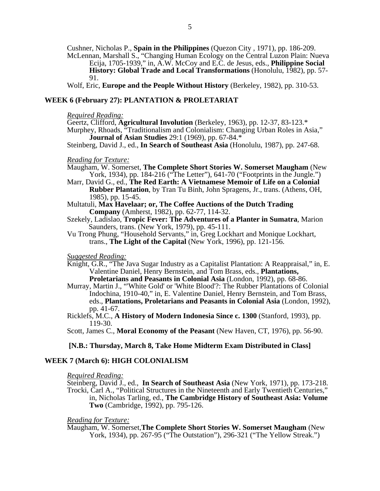Cushner, Nicholas P., **Spain in the Philippines** (Quezon City , 1971), pp. 186-209. McLennan, Marshall S., "Changing Human Ecology on the Central Luzon Plain: Nueva Ecija, 1705-1939," in, A.W. McCoy and E.C. de Jesus, eds., **Philippine Social**  History: Global Trade and Local Transformations (Honolulu, 1982), pp. 57-91.

Wolf, Eric, **Europe and the People Without History** (Berkeley, 1982), pp. 310-53.

#### **WEEK 6 (February 27): PLANTATION & PROLETARIAT**

#### *Required Reading:*

Geertz, Clifford, **Agricultural Involution** (Berkeley, 1963), pp. 12-37, 83-123.\* Murphey, Rhoads, "Traditionalism and Colonialism: Changing Urban Roles in Asia," **Journal of Asian Studies** 29:1 (1969), pp. 67-84.\*

Steinberg, David J., ed., **In Search of Southeast Asia** (Honolulu, 1987), pp. 247-68.

#### *Reading for Texture:*

- Maugham, W. Somerset, **The Complete Short Stories W. Somerset Maugham** (New York, 1934), pp. 184-216 ("The Letter"), 641-70 ("Footprints in the Jungle.")
- Marr, David G., ed., **The Red Earth: A Vietnamese Memoir of Life on a Colonial Rubber Plantation**, by Tran Tu Binh, John Spragens, Jr., trans. (Athens, OH, 1985), pp. 15-45.
- Multatuli, **Max Havelaar; or, The Coffee Auctions of the Dutch Trading Company** (Amherst, 1982), pp. 62-77, 114-32.
- Szekely, Ladislao, **Tropic Fever: The Adventures of a Planter in Sumatra**, Marion Saunders, trans. (New York, 1979), pp. 45-111.
- Vu Trong Phung, "Household Servants," in, Greg Lockhart and Monique Lockhart, trans., **The Light of the Capital** (New York, 1996), pp. 121-156.

#### *Suggested Reading:*

- Knight, G.R., "The Java Sugar Industry as a Capitalist Plantation: A Reappraisal," in, E. Valentine Daniel, Henry Bernstein, and Tom Brass, eds., **Plantations, Proletarians and Peasants in Colonial Asia** (London, 1992), pp. 68-86.
- Murray, Martin J., "'White Gold' or 'White Blood'?: The Rubber Plantations of Colonial Indochina, 1910-40," in, E. Valentine Daniel, Henry Bernstein, and Tom Brass, eds., **Plantations, Proletarians and Peasants in Colonial Asia** (London, 1992), pp. 41-67.
- Ricklefs, M.C., **A History of Modern Indonesia Since c. 1300** (Stanford, 1993), pp. 119-30.

Scott, James C., **Moral Economy of the Peasant** (New Haven, CT, 1976), pp. 56-90.

#### **[N.B.: Thursday, March 8, Take Home Midterm Exam Distributed in Class]**

#### **WEEK 7 (March 6): HIGH COLONIALISM**

#### *Required Reading:*

Steinberg, David J., ed., **In Search of Southeast Asia** (New York, 1971), pp. 173-218. Trocki, Carl A., "Political Structures in the Nineteenth and Early Twentieth Centuries," in, Nicholas Tarling, ed., **The Cambridge History of Southeast Asia: Volume Two** (Cambridge, 1992), pp. 795-126.

#### *Reading for Texture:*

Maugham, W. Somerset,**The Complete Short Stories W. Somerset Maugham** (New York, 1934), pp. 267-95 ("The Outstation"), 296-321 ("The Yellow Streak.")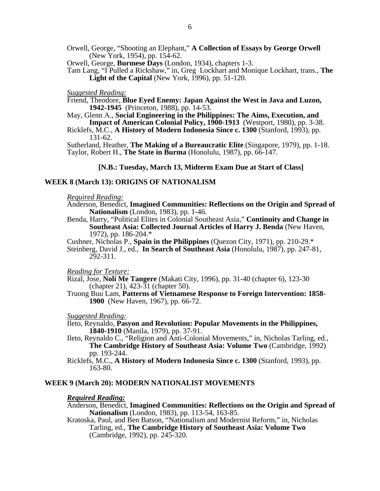Orwell, George, "Shooting an Elephant," **A Collection of Essays by George Orwell** (New York, 1954), pp. 154-62.

Orwell, George, **Burmese Days** (London, 1934), chapters 1-3.

Tam Lang, "I Pulled a Rickshaw," in, Greg Lockhart and Monique Lockhart, trans., **The Light of the Capital** (New York, 1996), pp. 51-120.

#### *Suggested Reading:*

Friend, Theodore, **Blue Eyed Enemy: Japan Against the West in Java and Luzon, 1942-1945** (Princeton, 1988), pp. 14-53.

- May, Glenn A., **Social Engineering in the Philippines: The Aims, Execution, and Impact of American Colonial Policy, 1900-1913** (Westport, 1980), pp. 3-38.
- Ricklefs, M.C., **A History of Modern Indonesia Since c. 1300** (Stanford, 1993), pp. 131-62.

Sutherland, Heather, **The Making of a Bureaucratic Elite** (Singapore, 1979), pp. 1-18. Taylor, Robert H., **The State in Burma** (Honolulu, 1987), pp. 66-147.

#### **[N.B.: Tuesday, March 13, Midterm Exam Due at Start of Class]**

#### **WEEK 8 (March 13): ORIGINS OF NATIONALISM**

#### *Required Reading:*

- Anderson, Benedict, **Imagined Communities: Reflections on the Origin and Spread of Nationalism** (London, 1983), pp. 1-46.
- Benda, Harry, "Political Elites in Colonial Southeast Asia," **Continuity and Change in Southeast Asia: Collected Journal Articles of Harry J. Benda** (New Haven, 1972), pp. 186-204.\*
- Cushner, Nicholas P., **Spain in the Philippines** (Quezon City, 1971), pp. 210-29.\*
- Steinberg, David J., ed., **In Search of Southeast Asia** (Honolulu, 1987), pp. 247-81, 292-311.

#### *Reading for Texture:*

- Rizal, Jose, **Noli Me Tangere** (Makati City, 1996), pp. 31-40 (chapter 6), 123-30 (chapter 21), 423-31 (chapter 50).
- Truong Buu Lam, **Patterns of Vietnamese Response to Foreign Intervention: 1858- 1900** (New Haven, 1967), pp. 66-72.

#### *Suggested Reading:*

- Ileto, Reynaldo, **Pasyon and Revolution: Popular Movements in the Philippines, 1840-1910** (Manila, 1979), pp. 37-91.
- Ileto, Reynaldo C., "Religion and Anti-Colonial Movements," in, Nicholas Tarling, ed., **The Cambridge History of Southeast Asia: Volume Two** (Cambridge, 1992) pp. 193-244.
- Ricklefs, M.C., **A History of Modern Indonesia Since c. 1300** (Stanford, 1993), pp. 163-80.

#### **WEEK 9 (March 20): MODERN NATIONALIST MOVEMENTS**

#### *Required Reading:*

- Anderson, Benedict, **Imagined Communities: Reflections on the Origin and Spread of Nationalism** (London, 1983), pp. 113-54, 163-85.
- Kratoska, Paul, and Ben Batson, "Nationalism and Modernist Reform," in, Nicholas Tarling, ed., **The Cambridge History of Southeast Asia: Volume Two**  (Cambridge, 1992), pp. 245-320.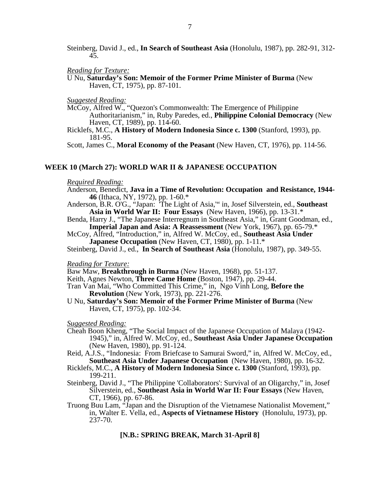Steinberg, David J., ed., **In Search of Southeast Asia** (Honolulu, 1987), pp. 282-91, 312- 45.

*Reading for Texture:*

U Nu, **Saturday's Son: Memoir of the Former Prime Minister of Burma** (New Haven, CT, 1975), pp. 87-101.

*Suggested Reading:*

McCoy, Alfred W., "Quezon's Commonwealth: The Emergence of Philippine Authoritarianism," in, Ruby Paredes, ed., **Philippine Colonial Democracy** (New Haven, CT, 1989), pp. 114-60.

Ricklefs, M.C., **A History of Modern Indonesia Since c. 1300** (Stanford, 1993), pp. 181-95.

Scott, James C., **Moral Economy of the Peasant** (New Haven, CT, 1976), pp. 114-56.

#### **WEEK 10 (March 27): WORLD WAR II & JAPANESE OCCUPATION**

#### *Required Reading:*

- Anderson, Benedict, **Java in a Time of Revolution: Occupation and Resistance, 1944- 46** (Ithaca, NY, 1972), pp. 1-60.\*
- Anderson, B.R. O'G., "Japan: 'The Light of Asia,'" in, Josef Silverstein, ed., **Southeast Asia in World War II: Four Essays** (New Haven, 1966), pp. 13-31.\*
- Benda, Harry J., "The Japanese Interregnum in Southeast Asia," in, Grant Goodman, ed., **Imperial Japan and Asia: A Reassessment** (New York, 1967), pp. 65-79.\*
- McCoy, Alfred, "Introduction," in, Alfred W. McCoy, ed., **Southeast Asia Under Japanese Occupation** (New Haven, CT, 1980), pp. 1-11.\*

Steinberg, David J., ed., **In Search of Southeast Asia** (Honolulu, 1987), pp. 349-55.

*Reading for Texture:*

Baw Maw, **Breakthrough in Burma** (New Haven, 1968), pp. 51-137.

- Keith, Agnes Newton, **Three Came Home** (Boston, 1947), pp. 29-44.
- Tran Van Mai, "Who Committed This Crime," in, Ngo Vinh Long, **Before the Revolution** (New York, 1973), pp. 221-276.
- U Nu, **Saturday's Son: Memoir of the Former Prime Minister of Burma** (New Haven, CT, 1975), pp. 102-34.

*Suggested Reading:* 

Cheah Boon Kheng, "The Social Impact of the Japanese Occupation of Malaya (1942- 1945)," in, Alfred W. McCoy, ed., **Southeast Asia Under Japanese Occupation** (New Haven, 1980), pp. 91-124.

Reid, A.J.S., "Indonesia: From Briefcase to Samurai Sword," in, Alfred W. McCoy, ed., **Southeast Asia Under Japanese Occupation** (New Haven, 1980), pp. 16-32.

- Ricklefs, M.C., **A History of Modern Indonesia Since c. 1300** (Stanford, 1993), pp. 199-211.
- Steinberg, David J., "The Philippine 'Collaborators': Survival of an Oligarchy," in, Josef Silverstein, ed., **Southeast Asia in World War II: Four Essays** (New Haven, CT, 1966), pp. 67-86.
- Truong Buu Lam, "Japan and the Disruption of the Vietnamese Nationalist Movement," in, Walter E. Vella, ed., **Aspects of Vietnamese History**(Honolulu, 1973), pp. 237-70.

**[N.B.: SPRING BREAK, March 31-April 8]**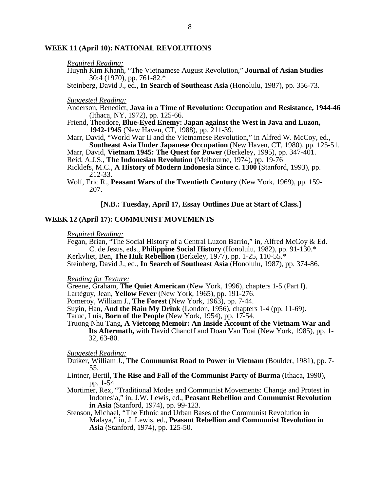#### **WEEK 11 (April 10): NATIONAL REVOLUTIONS**

#### *Required Reading:*

Huynh Kim Khanh, "The Vietnamese August Revolution," **Journal of Asian Studies**  30:4 (1970), pp. 761-82.\*

Steinberg, David J., ed., **In Search of Southeast Asia** (Honolulu, 1987), pp. 356-73.

#### *Suggested Reading:*

- Anderson, Benedict, **Java in a Time of Revolution: Occupation and Resistance, 1944-46**  (Ithaca, NY, 1972), pp. 125-66.
- Friend, Theodore, **Blue-Eyed Enemy: Japan against the West in Java and Luzon, 1942-1945** (New Haven, CT, 1988), pp. 211-39.
- Marr, David, "World War II and the Vietnamese Revolution," in Alfred W. McCoy, ed., **Southeast Asia Under Japanese Occupation** (New Haven, CT, 1980), pp. 125-51.

Marr, David, **Vietnam 1945: The Quest for Power** (Berkeley, 1995), pp. 347-401.

- Reid, A.J.S., **The Indonesian Revolution** (Melbourne, 1974), pp. 19-76
- Ricklefs, M.C., **A History of Modern Indonesia Since c. 1300** (Stanford, 1993), pp. 212-33.
- Wolf, Eric R., **Peasant Wars of the Twentieth Century** (New York, 1969), pp. 159- 207.

#### **[N.B.: Tuesday, April 17, Essay Outlines Due at Start of Class.]**

#### **WEEK 12 (April 17): COMMUNIST MOVEMENTS**

#### *Required Reading:*

Fegan, Brian, "The Social History of a Central Luzon Barrio," in, Alfred McCoy & Ed. C. de Jesus, eds., **Philippine Social History** (Honolulu, 1982), pp. 91-130.\*

Kerkvliet, Ben, **The Huk Rebellion** (Berkeley, 1977), pp. 1-25, 110-55.\* Steinberg, David J., ed., **In Search of Southeast Asia** (Honolulu, 1987), pp. 374-86.

*Reading for Texture:*

Greene, Graham, **The Quiet American** (New York, 1996), chapters 1-5 (Part I).

Lartéguy, Jean, **Yellow Fever** (New York, 1965), pp. 191-276.

Pomeroy, William J., **The Forest** (New York, 1963), pp. 7-44.

Suyin, Han, **And the Rain My Drink** (London, 1956), chapters 1-4 (pp. 11-69).

Taruc, Luis, **Born of the People** (New York, 1954), pp. 17-54.

Truong Nhu Tang, **A Vietcong Memoir: An Inside Account of the Vietnam War and Its Aftermath,** with David Chanoff and Doan Van Toai (New York, 1985), pp. 1- 32, 63-80.

#### *Suggested Reading:*

- Duiker, William J., **The Communist Road to Power in Vietnam** (Boulder, 1981), pp. 7- 55.
- Lintner, Bertil, **The Rise and Fall of the Communist Party of Burma** (Ithaca, 1990), pp. 1-54
- Mortimer, Rex, "Traditional Modes and Communist Movements: Change and Protest in Indonesia," in, J.W. Lewis, ed., **Peasant Rebellion and Communist Revolution in Asia** (Stanford, 1974), pp. 99-123.
- Stenson, Michael, "The Ethnic and Urban Bases of the Communist Revolution in Malaya," in, J. Lewis, ed., **Peasant Rebellion and Communist Revolution in Asia** (Stanford, 1974), pp. 125-50.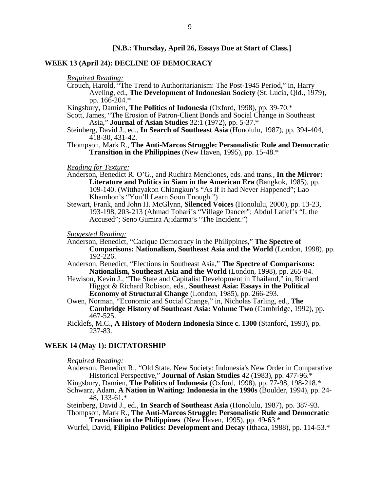#### **WEEK 13 (April 24): DECLINE OF DEMOCRACY**

*Required Reading:*

Crouch, Harold, "The Trend to Authoritarianism: The Post-1945 Period," in, Harry Aveling, ed., **The Development of Indonesian Society** (St. Lucia, Qld., 1979), pp. 166-204.\*

Kingsbury, Damien, **The Politics of Indonesia** (Oxford, 1998), pp. 39-70.\*

Scott, James, "The Erosion of Patron-Client Bonds and Social Change in Southeast Asia," **Journal of Asian Studies** 32:1 (1972), pp. 5-37.\*

Steinberg, David J., ed., **In Search of Southeast Asia** (Honolulu, 1987), pp. 394-404, 418-30, 431-42.

Thompson, Mark R., **The Anti-Marcos Struggle: Personalistic Rule and Democratic Transition in the Philippines** (New Haven, 1995), pp. 15-48.\*

#### *Reading for Texture:*

- Anderson, Benedict R. O'G., and Ruchira Mendiones, eds. and trans*.,* **In the Mirror: Literature and Politics in Siam in the American Era** (Bangkok, 1985), pp. 109-140. (Witthayakon Chiangkun's "As If It had Never Happened"; Lao Khamhon's "You'll Learn Soon Enough.")
- Stewart, Frank, and John H. McGlynn, **Silenced Voices** (Honolulu, 2000), pp. 13-23, 193-198, 203-213 (Ahmad Tohari's "Village Dancer"; Abdul Latief's "I, the Accused"; Seno Gumira Ajidarma's "The Incident.")

*Suggested Reading:* 

- Anderson, Benedict, "Cacique Democracy in the Philippines," **The Spectre of Comparisons: Nationalism, Southeast Asia and the World** (London, 1998), pp.  $192 - 226$ .
- Anderson, Benedict, "Elections in Southeast Asia," **The Spectre of Comparisons: Nationalism, Southeast Asia and the World** (London, 1998), pp. 265-84.
- Hewison, Kevin J., "The State and Capitalist Development in Thailand," in, Richard Higgot & Richard Robison, eds., **Southeast Asia: Essays in the Political Economy of Structural Change** (London, 1985), pp. 266-293.
- Owen, Norman, "Economic and Social Change," in, Nicholas Tarling, ed., **The Cambridge History of Southeast Asia: Volume Two** (Cambridge, 1992), pp. 467-525.
- Ricklefs, M.C., **A History of Modern Indonesia Since c. 1300** (Stanford, 1993), pp. 237-83.

#### **WEEK 14 (May 1): DICTATORSHIP**

#### *Required Reading:*

Anderson, Benedict R., "Old State, New Society: Indonesia's New Order in Comparative Historical Perspective," **Journal of Asian Studies** 42 (1983), pp. 477-96.\* Kingsbury, Damien, **The Politics of Indonesia** (Oxford, 1998), pp. 77-98, 198-218.\*

Schwarz, Adam, **A Nation in Waiting: Indonesia in the 1990s** (Boulder, 1994), pp. 24- 48, 133-61.\*

Steinberg, David J., ed., **In Search of Southeast Asia** (Honolulu, 1987), pp. 387-93. Thompson, Mark R., **The Anti-Marcos Struggle: Personalistic Rule and Democratic** 

**Transition in the Philippines** (New Haven, 1995), pp. 49-63.\*

Wurfel, David, **Filipino Politics: Development and Decay** (Ithaca, 1988), pp. 114-53.\*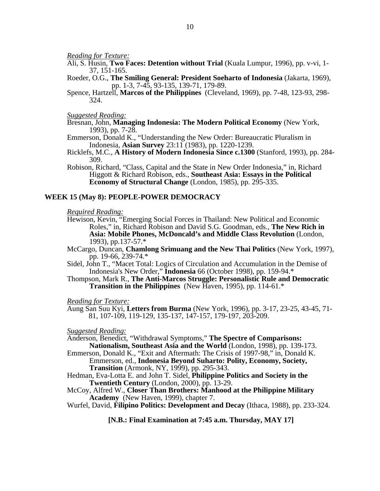*Reading for Texture:*

- Ali, S. Husin, **Two Faces: Detention without Trial** (Kuala Lumpur, 1996), pp. v-vi, 1- 37, 151-165.
- Roeder, O.G., **The Smiling General: President Soeharto of Indonesia** (Jakarta, 1969), pp. 1-3, 7-45, 93-135, 139-71, 179-89.
- Spence, Hartzell, **Marcos of the Philippines** (Cleveland, 1969), pp. 7-48, 123-93, 298- 324.

*Suggested Reading:* 

Bresnan, John, **Managing Indonesia: The Modern Political Economy** (New York, 1993), pp. 7-28.

Emmerson, Donald K., "Understanding the New Order: Bureaucratic Pluralism in Indonesia, **Asian Survey** 23:11 (1983), pp. 1220-1239.

- Ricklefs, M.C., **A History of Modern Indonesia Since c.1300** (Stanford, 1993), pp. 284- 309.
- Robison, Richard, "Class, Capital and the State in New Order Indonesia," in, Richard Higgott & Richard Robison, eds., **Southeast Asia: Essays in the Political Economy of Structural Change** (London, 1985), pp. 295-335.

#### **WEEK 15 (May 8): PEOPLE-POWER DEMOCRACY**

*Required Reading:*

- Hewison, Kevin, "Emerging Social Forces in Thailand: New Political and Economic Roles," in, Richard Robison and David S.G. Goodman, eds., **The New Rich in Asia: Mobile Phones, McDoncald's and Middle Class Revolution** (London, 1993), pp.137-57.\*
- McCargo, Duncan, **Chamlong Srimuang and the New Thai Politics** (New York, 1997), pp. 19-66, 239-74.\*
- Sidel, John T., "Macet Total: Logics of Circulation and Accumulation in the Demise of Indonesia's New Order," **Indonesia** 66 (October 1998), pp. 159-94.\*
- Thompson, Mark R., **The Anti-Marcos Struggle: Personalistic Rule and Democratic Transition in the Philippines** (New Haven, 1995), pp. 114-61.\*

*Reading for Texture:*

Aung San Suu Kyi, **Letters from Burma** (New York, 1996), pp. 3-17, 23-25, 43-45, 71- 81, 107-109, 119-129, 135-137, 147-157, 179-197, 203-209.

*Suggested Reading:* 

Anderson, Benedict, "Withdrawal Symptoms," **The Spectre of Comparisons: Nationalism, Southeast Asia and the World** (London, 1998), pp. 139-173.

Emmerson, Donald K., "Exit and Aftermath: The Crisis of 1997-98," in, Donald K. Emmerson, ed., **Indonesia Beyond Suharto: Polity, Economy, Society, Transition** (Armonk, NY, 1999), pp. 295-343.

Hedman, Eva-Lotta E. and John T. Sidel, **Philippine Politics and Society in the Twentieth Century** (London, 2000), pp. 13-29.

McCoy, Alfred W., **Closer Than Brothers: Manhood at the Philippine Military Academy** (New Haven, 1999), chapter 7.

Wurfel, David, **Filipino Politics: Development and Decay** (Ithaca, 1988), pp. 233-324.

**[N.B.: Final Examination at 7:45 a.m. Thursday, MAY 17]**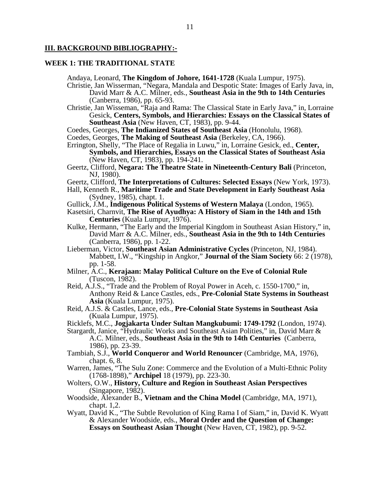#### **III. BACKGROUND BIBLIOGRAPHY:-**

#### **WEEK 1: THE TRADITIONAL STATE**

Andaya, Leonard, **The Kingdom of Johore, 1641-1728** (Kuala Lumpur, 1975).

- Christie, Jan Wisserman, "Negara, Mandala and Despotic State: Images of Early Java, in, David Marr & A.C. Milner, eds., **Southeast Asia in the 9th to 14th Centuries**  (Canberra, 1986), pp. 65-93.
- Christie, Jan Wisseman, "Raja and Rama: The Classical State in Early Java," in, Lorraine Gesick, **Centers, Symbols, and Hierarchies: Essays on the Classical States of Southeast Asia** (New Haven, CT, 1983), pp. 9-44.
- Coedes, Georges, **The Indianized States of Southeast Asia** (Honolulu, 1968).
- Coedes, Georges, **The Making of Southeast Asia** (Berkeley, CA, 1966).
- Errington, Shelly, "The Place of Regalia in Luwu," in, Lorraine Gesick, ed., **Center, Symbols, and Hierarchies, Essays on the Classical States of Southeast Asia**  (New Haven, CT, 1983), pp. 194-241.
- Geertz, Clifford, **Negara: The Theatre State in Nineteenth-Century Bali** (Princeton, NJ, 1980).
- Geertz, Clifford, **The Interpretations of Cultures: Selected Essays** (New York, 1973).
- Hall, Kenneth R., **Maritime Trade and State Development in Early Southeast Asia**  (Sydney, 1985), chapt. 1.
- Gullick, J.M., **Indigenous Political Systems of Western Malaya** (London, 1965).
- Kasetsiri, Charnvit, **The Rise of Ayudhya: A History of Siam in the 14th and 15th Centuries** (Kuala Lumpur, 1976).
- Kulke, Hermann, "The Early and the Imperial Kingdom in Southeast Asian History," in, David Marr & A.C. Milner, eds., **Southeast Asia in the 9th to 14th Centuries**  (Canberra, 1986), pp. 1-22.
- Lieberman, Victor, **Southeast Asian Administrative Cycles** (Princeton, NJ, 1984). Mabbett, I.W., "Kingship in Angkor," **Journal of the Siam Society** 66: 2 (1978), pp. 1-58.
- Milner, A.C., **Kerajaan: Malay Political Culture on the Eve of Colonial Rule**  (Tuscon, 1982).
- Reid, A.J.S., "Trade and the Problem of Royal Power in Aceh, c. 1550-1700," in, Anthony Reid & Lance Castles, eds., **Pre-Colonial State Systems in Southeast Asia** (Kuala Lumpur, 1975).
- Reid, A.J.S. & Castles, Lance, eds., **Pre-Colonial State Systems in Southeast Asia**  (Kuala Lumpur, 1975).
- Ricklefs, M.C., **Jogjakarta Under Sultan Mangkubumi: 1749-1792** (London, 1974).
- Stargardt, Janice, "Hydraulic Works and Southeast Asian Polities," in, David Marr & A.C. Milner, eds., **Southeast Asia in the 9th to 14th Centuries** (Canberra, 1986), pp. 23-39.
- Tambiah, S.J., **World Conqueror and World Renouncer** (Cambridge, MA, 1976), chapt. 6, 8.
- Warren, James, "The Sulu Zone: Commerce and the Evolution of a Multi-Ethnic Polity (1768-1898)," **Archipel** 18 (1979), pp. 223-30.
- Wolters, O.W., **History, Culture and Region in Southeast Asian Perspectives**  (Singapore, 1982).
- Woodside, Alexander B., **Vietnam and the China Model** (Cambridge, MA, 1971), chapt. 1,2.
- Wyatt, David K., "The Subtle Revolution of King Rama I of Siam," in, David K. Wyatt & Alexander Woodside, eds., **Moral Order and the Question of Change: Essays on Southeast Asian Thought** (New Haven, CT, 1982), pp. 9-52.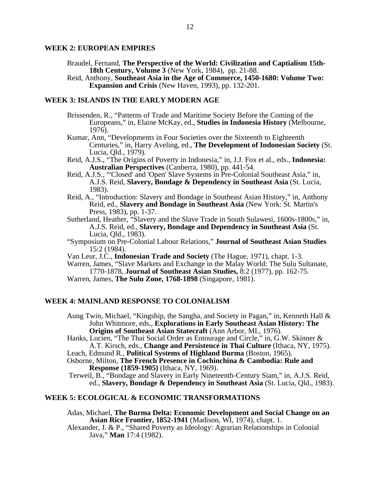#### **WEEK 2: EUROPEAN EMPIRES**

- Braudel, Fernand, **The Perspective of the World: Civilization and Captialism 15th-18th Century, Volume 3** (New York, 1984), pp. 21-88.
- Reid, Anthony, **Southeast Asia in the Age of Commerce, 1450-1680: Volume Two: Expansion and Crisis** (New Haven, 1993), pp. 132-201.

#### **WEEK 3: ISLANDS IN THE EARLY MODERN AGE**

- Brissenden, R., "Patterns of Trade and Maritime Society Before the Coming of the Europeans," in, Elaine McKay, ed., **Studies in Indonesia History** (Melbourne, 1976).
- Kumar, Ann, "Developments in Four Societies over the Sixteenth to Eighteenth Centuries," in, Harry Aveling, ed., **The Development of Indonesian Society** (St. Lucia, Qld., 1979).
- Reid, A.J.S., "The Origins of Poverty in Indonesia," in, J.J. Fox et al., eds., **Indonesia: Australian Perspectives** (Canberra, 1980), pp. 441-54.
- Reid, A.J.S., "'Closed' and 'Open' Slave Systems in Pre-Colonial Southeast Asia," in, A.J.S. Reid, **Slavery, Bondage & Dependency in Southeast Asia** (St. Lucia, 1983).
- Reid, A., "Introduction: Slavery and Bondage in Southeast Asian History," in, Anthony Reid, ed., **Slavery and Bondage in Southeast Asia** (New York: St. Martin's Press, 1983), pp. 1-37.
- Sutherland, Heather, "Slavery and the Slave Trade in South Sulawesi, 1600s-1800s," in, A.J.S. Reid, ed., **Slavery, Bondage and Dependency in Southeast Asia** (St. Lucia, Qld., 1983).
- "Symposium on Pre-Colonial Labour Relations," **Journal of Southeast Asian Studies** 15:2 (1984).
- Van Leur, J.C., **Indonesian Trade and Society** (The Hague, 1971), chapt. 1-3.

Warren, James, "Slave Markets and Exchange in the Malay World: The Sulu Sultanate, 1770-1878, **Journal of Southeast Asian Studies,** 8:2 (1977), pp. 162-75.

Warren, James, **The Sulu Zone, 1768-1898** (Singapore, 1981).

#### **WEEK 4: MAINLAND RESPONSE TO COLONIALISM**

- Aung Twin, Michael, "Kingship, the Sangha, and Society in Pagan," in, Kenneth Hall  $\&$ John Whitmore, eds., **Explorations in Early Southeast Asian History: The Origins of Southeast Asian Statecraft** (Ann Arbor, MI., 1976).
- Hanks, Lucien, "The Thai Social Order as Entourage and Circle," in, G.W. Skinner & A.T. Kirsch, eds., **Change and Persistence in Thai Culture** (Ithaca, NY, 1975).
- Leach, Edmund R., **Political Systems of Highland Burma** (Boston, 1965).
- Osborne, Milton, **The French Presence in Cochinchina & Cambodia: Rule and Response (1859-1905)** (Ithaca, NY, 1969).

 Terweil, B., "Bondage and Slavery in Early Nineteenth-Century Siam," in, A.J.S. Reid, ed., **Slavery, Bondage & Dependency in Southeast Asia** (St. Lucia, Qld., 1983).

#### **WEEK 5: ECOLOGICAL & ECONOMIC TRANSFORMATIONS**

- Adas, Michael, **The Burma Delta: Economic Development and Social Change on an Asian Rice Frontier, 1852-1941** (Madison, WI, 1974), chapt. 1.
- Alexander, J. & P., "Shared Poverty as Ideology: Agrarian Relationships in Colonial Java," **Man** 17:4 (1982).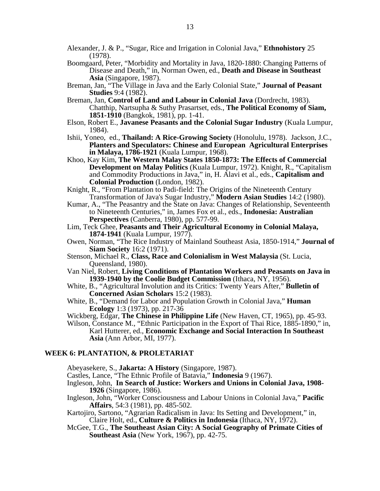- Alexander, J. & P., "Sugar, Rice and Irrigation in Colonial Java," **Ethnohistory** 25 (1978).
- Boomgaard, Peter, "Morbidity and Mortality in Java, 1820-1880: Changing Patterns of Disease and Death," in, Norman Owen, ed., **Death and Disease in Southeast Asia** (Singapore, 1987).
- Breman, Jan, "The Village in Java and the Early Colonial State," **Journal of Peasant Studies** 9:4 (1982).
- Breman, Jan, **Control of Land and Labour in Colonial Java** (Dordrecht, 1983). Chatthip, Nartsupha & Suthy Prasartset, eds., **The Political Economy of Siam, 1851-1910** (Bangkok, 1981), pp. 1-41.
- Elson, Robert E., **Javanese Peasants and the Colonial Sugar Industry** (Kuala Lumpur, 1984).
- Ishii, Yoneo, ed., **Thailand: A Rice-Growing Society** (Honolulu, 1978). Jackson, J.C., **Planters and Speculators: Chinese and European Agricultural Enterprises in Malaya, 1786-1921** (Kuala Lumpur, 1968).
- Khoo, Kay Kim, **The Western Malay States 1850-1873: The Effects of Commercial Development on Malay Politics** (Kuala Lumpur, 1972). Knight, R., "Capitalism and Commodity Productions in Java," in, H. Alavi et al., eds., **Capitalism and Colonial Production** (London, 1982).
- Knight, R., "From Plantation to Padi-field: The Origins of the Nineteenth Century Transformation of Java's Sugar Industry," **Modern Asian Studies** 14:2 (1980).
- Kumar, A., "The Peasantry and the State on Java: Changes of Relationship, Seventeenth to Nineteenth Centuries," in, James Fox et al., eds., **Indonesia: Australian Perspectives** (Canberra, 1980), pp. 577-99.
- Lim, Teck Ghee, **Peasants and Their Agricultural Economy in Colonial Malaya, 1874-1941** (Kuala Lumpur, 1977).
- Owen, Norman, "The Rice Industry of Mainland Southeast Asia, 1850-1914," **Journal of Siam Society** 16:2 (1971).
- Stenson, Michael R., **Class, Race and Colonialism in West Malaysia** (St. Lucia, Queensland, 1980).
- Van Niel, Robert, **Living Conditions of Plantation Workers and Peasants on Java in 1939-1940 by the Coolie Budget Commission** (Ithaca, NY, 1956).
- White, B., "Agricultural Involution and its Critics: Twenty Years After," **Bulletin of Concerned Asian Scholars** 15:2 (1983).
- White, B., "Demand for Labor and Population Growth in Colonial Java," **Human Ecology** 1:3 (1973), pp. 217-36
- Wickberg, Edgar, **The Chinese in Philippine Life** (New Haven, CT, 1965), pp. 45-93.
- Wilson, Constance M., "Ethnic Participation in the Export of Thai Rice, 1885-1890," in, Karl Hutterer, ed., **Economic Exchange and Social Interaction In Southeast Asia** (Ann Arbor, MI, 1977).

#### **WEEK 6: PLANTATION, & PROLETARIAT**

Abeyasekere, S., **Jakarta: A History** (Singapore, 1987).

- Castles, Lance, "The Ethnic Profile of Batavia," **Indonesia** 9 (1967).
- Ingleson, John, **In Search of Justice: Workers and Unions in Colonial Java, 1908- 1926** (Singapore, 1986).
- Ingleson, John, "Worker Consciousness and Labour Unions in Colonial Java," **Pacific Affairs**, 54:3 (1981), pp. 485-502.
- Kartojiro, Sartono, "Agrarian Radicalism in Java: Its Setting and Development," in, Claire Holt, ed., **Culture & Politics in Indonesia** (Ithaca, NY, 1972).
- McGee, T.G., **The Southeast Asian City: A Social Geography of Primate Cities of Southeast Asia** (New York, 1967), pp. 42-75.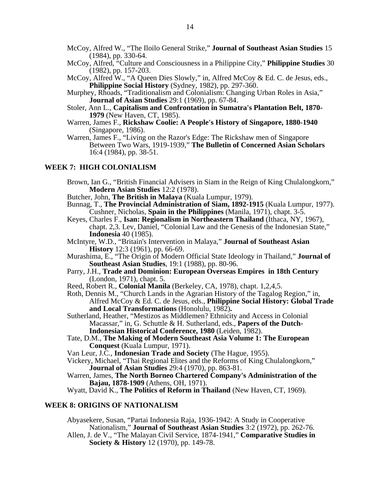- McCoy, Alfred W., "The Iloilo General Strike," **Journal of Southeast Asian Studies** 15 (1984), pp. 330-64.
- McCoy, Alfred, "Culture and Consciousness in a Philippine City," **Philippine Studies** 30 (1982), pp. 157-203.
- McCoy, Alfred W., "A Queen Dies Slowly," in, Alfred McCoy & Ed. C. de Jesus, eds., **Philippine Social History** (Sydney, 1982), pp. 297-360.
- Murphey, Rhoads, "Traditionalism and Colonialism: Changing Urban Roles in Asia," **Journal of Asian Studies** 29:1 (1969), pp. 67-84.
- Stoler, Ann L., **Capitalism and Confrontation in Sumatra's Plantation Belt, 1870- 1979** (New Haven, CT, 1985).
- Warren, James F., **Rickshaw Coolie: A People's History of Singapore, 1880-1940**  (Singapore, 1986).
- Warren, James F., "Living on the Razor's Edge: The Rickshaw men of Singapore Between Two Wars, 1919-1939," **The Bulletin of Concerned Asian Scholars** 16:4 (1984), pp. 38-51.

#### **WEEK 7: HIGH COLONIALISM**

- Brown, Ian G., "British Financial Advisers in Siam in the Reign of King Chulalongkorn," **Modern Asian Studies** 12:2 (1978).
- Butcher, John, **The British in Malaya** (Kuala Lumpur, 1979).
- Bunnag, T., **The Provincial Administration of Siam, 1892-1915** (Kuala Lumpur, 1977). Cushner, Nicholas, **Spain in the Philippines** (Manila, 1971), chapt. 3-5.
- Keyes, Charles F., **Isan: Regionalism in Northeastern Thailand** (Ithaca, NY, 1967), chapt. 2,3. Lev, Daniel, "Colonial Law and the Genesis of the Indonesian State," **Indonesia** 40 (1985).
- McIntyre, W.D., "Britain's Intervention in Malaya," **Journal of Southeast Asian History** 12:3 (1961), pp. 66-69.
- Murashima, E., "The Origin of Modern Official State Ideology in Thailand," **Journal of Southeast Asian Studies**, 19:1 (1988), pp. 80-96.
- Parry, J.H., **Trade and Dominion: European Overseas Empires in 18th Century** (London, 1971), chapt. 5.
- Reed, Robert R., **Colonial Manila** (Berkeley, CA, 1978), chapt. 1,2,4,5.
- Roth, Dennis M., "Church Lands in the Agrarian History of the Tagalog Region," in, Alfred McCoy & Ed. C. de Jesus, eds., **Philippine Social History: Global Trade and Local Transformations** (Honolulu, 1982)**.**
- Sutherland, Heather, "Mestizos as Middlemen? Ethnicity and Access in Colonial Macassar," in, G. Schuttle & H. Sutherland, eds., **Papers of the Dutch-Indonesian Historical Conference, 1980** (Leiden, 1982).
- Tate, D.M., **The Making of Modern Southeast Asia Volume 1: The European Conquest** (Kuala Lumpur, 1971).
- Van Leur, J.C., **Indonesian Trade and Society** (The Hague, 1955).
- Vickery, Michael, "Thai Regional Elites and the Reforms of King Chulalongkorn," **Journal of Asian Studies** 29:4 (1970), pp. 863-81.
- Warren, James, **The North Borneo Chartered Company's Administration of the Bajau, 1878-1909** (Athens, OH, 1971).

Wyatt, David K., **The Politics of Reform in Thailand** (New Haven, CT, 1969).

#### **WEEK 8: ORIGINS OF NATIONALISM**

Abyasekere, Susan, "Partai Indonesia Raja, 1936-1942: A Study in Cooperative Nationalism," **Journal of Southeast Asian Studies** 3:2 (1972), pp. 262-76.

Allen, J. de V., "The Malayan Civil Service, 1874-1941," **Comparative Studies in Society & History** 12 (1970), pp. 149-78.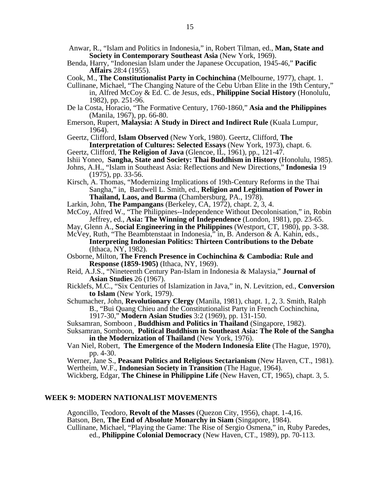- Anwar, R., "Islam and Politics in Indonesia," in, Robert Tilman, ed., **Man, State and Society in Contemporary Southeast Asia** (New York, 1969).
- Benda, Harry, "Indonesian Islam under the Japanese Occupation, 1945-46," **Pacific Affairs** 28:4 (1955).
- Cook, M., **The Constitutionalist Party in Cochinchina** (Melbourne, 1977), chapt. 1.
- Cullinane, Michael, "The Changing Nature of the Cebu Urban Elite in the 19th Century," in, Alfred McCoy & Ed. C. de Jesus, eds., **Philippine Social History** (Honolulu, 1982), pp. 251-96.
- De la Costa, Horacio, "The Formative Century, 1760-1860," **Asia and the Philippines**  (Manila, 1967), pp. 66-80.
- Emerson, Rupert, **Malaysia: A Study in Direct and Indirect Rule** (Kuala Lumpur, 1964).

Geertz, Clifford, **Islam Observed** (New York, 1980). Geertz, Clifford, **The** 

- **Interpretation of Cultures: Selected Essays** (New York, 1973), chapt. 6.
- Geertz, Clifford, **The Religion of Java** (Glencoe, IL, 1961), pp., 121-47.
- Ishii Yoneo, **Sangha, State and Society: Thai Buddhism in History** (Honolulu, 1985).
- Johns, A.H., "Islam in Southeast Asia: Reflections and New Directions," **Indonesia** 19 (1975), pp. 33-56.
- Kirsch, A. Thomas, "Modernizing Implications of 19th-Century Reforms in the Thai Sangha," in, Bardwell L. Smith, ed., **Religion and Legitimation of Power in Thailand, Laos, and Burma** (Chambersburg, PA., 1978).
- Larkin, John, **The Pampangans** (Berkeley, CA, 1972), chapt. 2, 3, 4.
- McCoy, Alfred W., "The Philippines--Independence Without Decolonisation," in, Robin Jeffrey, ed., **Asia: The Winning of Independence** (London, 1981), pp. 23-65.
- May, Glenn A., **Social Engineering in the Philippines** (Westport, CT, 1980), pp. 3-38.
- McVey, Ruth, "The Beambtenstaat in Indonesia," in, B. Anderson & A. Kahin, eds., **Interpreting Indonesian Politics: Thirteen Contributions to the Debate**  (Ithaca, NY, 1982).
- Osborne, Milton, **The French Presence in Cochinchina & Cambodia: Rule and Response (1859-1905)** (Ithaca, NY, 1969).
- Reid, A.J.S., "Nineteenth Century Pan-Islam in Indonesia & Malaysia," **Journal of Asian Studies** 26 (1967).
- Ricklefs, M.C., "Six Centuries of Islamization in Java," in, N. Levitzion, ed., **Conversion to Islam** (New York, 1979).
- Schumacher, John, **Revolutionary Clergy** (Manila, 1981), chapt. 1, 2, 3. Smith, Ralph B., "Bui Quang Chieu and the Constitutionalist Party in French Cochinchina,

1917-30," **Modern Asian Studies** 3:2 (1969), pp. 131-150.

- Suksamran, Somboon , **Buddhism and Politics in Thailand** (Singapore, 1982). Suksamran, Somboon, **Political Buddhism in Southeast Asia: The Role of the Sangha in the Modernization of Thailand** (New York, 1976).
- Van Niel, Robert, **The Emergence of the Modern Indonesia Elite** (The Hague, 1970), pp. 4-30.

Werner, Jane S., **Peasant Politics and Religious Sectarianism** (New Haven, CT., 1981). Wertheim, W.F., **Indonesian Society in Transition** (The Hague, 1964).

Wickberg, Edgar, **The Chinese in Philippine Life** (New Haven, CT, 1965), chapt. 3, 5.

#### **WEEK 9: MODERN NATIONALIST MOVEMENTS**

Agoncillo, Teodoro, **Revolt of the Masses** (Quezon City, 1956), chapt. 1-4,16. Batson, Ben, **The End of Absolute Monarchy in Siam** (Singapore, 1984). Cullinane, Michael, "Playing the Game: The Rise of Sergio Osmena," in, Ruby Paredes, ed., **Philippine Colonial Democracy** (New Haven, CT., 1989), pp. 70-113.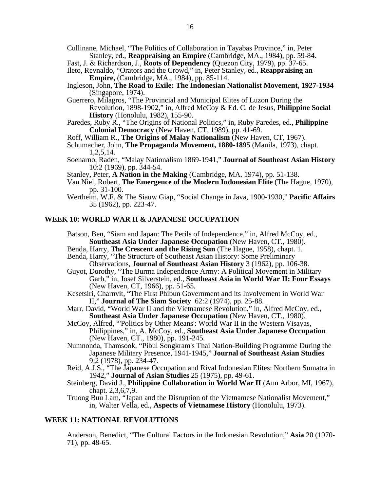- Cullinane, Michael, "The Politics of Collaboration in Tayabas Province," in, Peter Stanley, ed., **Reappraising an Empire** (Cambridge, MA., 1984), pp. 59-84.
- Fast, J. & Richardson, J., **Roots of Dependency** (Quezon City, 1979), pp. 37-65.
- Ileto, Reynaldo, "Orators and the Crowd," in, Peter Stanley, ed., **Reappraising an Empire,** (Cambridge, MA., 1984), pp. 85-114.
- Ingleson, John, **The Road to Exile: The Indonesian Nationalist Movement, 1927-1934**  (Singapore, 1974).
- Guerrero, Milagros, "The Provincial and Municipal Elites of Luzon During the Revolution, 1898-1902," in, Alfred McCoy & Ed. C. de Jesus, **Philippine Social History** (Honolulu, 1982), 155-90.
- Paredes, Ruby R., "The Origins of National Politics," in, Ruby Paredes, ed., **Philippine Colonial Democracy** (New Haven, CT, 1989), pp. 41-69.
- Roff, William R., **The Origins of Malay Nationalism** (New Haven, CT, 1967).
- Schumacher, John, **The Propaganda Movement, 1880-1895** (Manila, 1973), chapt. 1,2,5,14.
- Soenarno, Raden, "Malay Nationalism 1869-1941," **Journal of Southeast Asian History** 10:2 (1969), pp. 344-54.
- Stanley, Peter, **A Nation in the Making** (Cambridge, MA. 1974), pp. 51-138.
- Van Niel, Robert, **The Emergence of the Modern Indonesian Elite** (The Hague, 1970), pp. 31-100.
- Wertheim, W.F. & The Siauw Giap, "Social Change in Java, 1900-1930," **Pacific Affairs**  35 (1962), pp. 223-47.

#### **WEEK 10: WORLD WAR II & JAPANESE OCCUPATION**

Batson, Ben, "Siam and Japan: The Perils of Independence," in, Alfred McCoy, ed., **Southeast Asia Under Japanese Occupation** (New Haven, CT., 1980).

- Benda, Harry, **The Crescent and the Rising Sun** (The Hague, 1958), chapt. 1.
- Benda, Harry, "The Structure of Southeast Asian History: Some Preliminary Observations, **Journal of Southeast Asian History** 3 (1962), pp. 106-38.
- Guyot, Dorothy, "The Burma Independence Army: A Political Movement in Military Garb," in, Josef Silverstein, ed., **Southeast Asia in World War II: Four Essays**  (New Haven, CT, 1966), pp. 51-65.
- Kesetsiri, Charnvit, "The First Phibun Government and its Involvement in World War II," **Journal of The Siam Society** 62:2 (1974), pp. 25-88.
- Marr, David, "World War II and the Vietnamese Revolution," in, Alfred McCoy, ed., **Southeast Asia Under Japanese Occupation** (New Haven, CT., 1980).
- McCoy, Alfred, "'Politics by Other Means': World War II in the Western Visayas, Philippines," in, A. McCoy, ed., **Southeast Asia Under Japanese Occupation**  (New Haven, CT., 1980), pp. 191-245.
- Numnonda, Thamsook, "Pibul Songkram's Thai Nation-Building Programme During the Japanese Military Presence, 1941-1945," **Journal of Southeast Asian Studies** 9:2 (1978), pp. 234-47.
- Reid, A.J.S., "The Japanese Occupation and Rival Indonesian Elites: Northern Sumatra in 1942," **Journal of Asian Studies** 25 (1975), pp. 49-61.
- Steinberg, David J., **Philippine Collaboration in World War II** (Ann Arbor, MI, 1967), chapt. 2,3,6,7,9.
- Truong Buu Lam, "Japan and the Disruption of the Vietnamese Nationalist Movement," in, Walter Vella, ed., **Aspects of Vietnamese History** (Honolulu, 1973).

#### **WEEK 11: NATIONAL REVOLUTIONS**

Anderson, Benedict, "The Cultural Factors in the Indonesian Revolution," **Asia** 20 (1970- 71), pp. 48-65.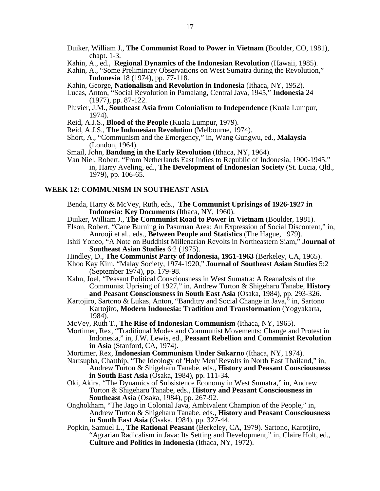- Duiker, William J., **The Communist Road to Power in Vietnam** (Boulder, CO, 1981), chapt. 1-3.
- Kahin, A., ed., **Regional Dynamics of the Indonesian Revolution** (Hawaii, 1985).
- Kahin, A., "Some Preliminary Observations on West Sumatra during the Revolution," **Indonesia** 18 (1974), pp. 77-118.
- Kahin, George, **Nationalism and Revolution in Indonesia** (Ithaca, NY, 1952).
- Lucas, Anton, "Social Revolution in Pamalang, Central Java, 1945," **Indonesia** 24 (1977), pp. 87-122.
- Pluvier, J.M., **Southeast Asia from Colonialism to Independence** (Kuala Lumpur, 1974).
- Reid, A.J.S., **Blood of the People** (Kuala Lumpur, 1979).
- Reid, A.J.S., **The Indonesian Revolution** (Melbourne, 1974).
- Short, A., "Communism and the Emergency," in, Wang Gungwu, ed., **Malaysia**  (London, 1964).
- Smail, John, **Bandung in the Early Revolution** (Ithaca, NY, 1964).
- Van Niel, Robert, "From Netherlands East Indies to Republic of Indonesia, 1900-1945," in, Harry Aveling, ed., **The Development of Indonesian Society** (St. Lucia, Qld., 1979), pp. 106-65.

#### **WEEK 12: COMMUNISM IN SOUTHEAST ASIA**

- Benda, Harry & McVey, Ruth, eds., **The Communist Uprisings of 1926-1927 in Indonesia: Key Documents** (Ithaca, NY, 1960).
- Duiker, William J., **The Communist Road to Power in Vietnam** (Boulder, 1981).
- Elson, Robert, "Cane Burning in Pasuruan Area: An Expression of Social Discontent," in, Anrooji et al., eds., **Between People and Statistics** (The Hague, 1979).
- Ishii Yoneo, "A Note on Buddhist Millenarian Revolts in Northeastern Siam," **Journal of Southeast Asian Studies** 6:2 (1975).
- Hindley, D., **The Communist Party of Indonesia, 1951-1963** (Berkeley, CA, 1965).
- Khoo Kay Kim, "Malay Society, 1974-1920," **Journal of Southeast Asian Studies** 5:2 (September 1974), pp. 179-98.
- Kahn, Joel, "Peasant Political Consciousness in West Sumatra: A Reanalysis of the Communist Uprising of 1927," in, Andrew Turton & Shigeharu Tanabe, **History and Peasant Consciousness in South East Asia** (Osaka, 1984), pp. 293-326.
- Kartojiro, Sartono & Lukas, Anton, "Banditry and Social Change in Java," in, Sartono Kartojiro, **Modern Indonesia: Tradition and Transformation** (Yogyakarta, 1984).
- McVey, Ruth T., **The Rise of Indonesian Communism** (Ithaca, NY, 1965).
- Mortimer, Rex, "Traditional Modes and Communist Movements: Change and Protest in Indonesia," in, J.W. Lewis, ed., **Peasant Rebellion and Communist Revolution in Asia** (Stanford, CA, 1974).
- Mortimer, Rex, **Indonesian Communism Under Sukarno** (Ithaca, NY, 1974).
- Nartsupha, Chatthip, "The Ideology of 'Holy Men' Revolts in North East Thailand," in, Andrew Turton & Shigeharu Tanabe, eds., **History and Peasant Consciousness in South East Asia** (Osaka, 1984), pp. 111-34.
- Oki, Akira, "The Dynamics of Subsistence Economy in West Sumatra," in, Andrew Turton & Shigeharu Tanabe, eds., **History and Peasant Consciousness in Southeast Asia** (Osaka, 1984), pp. 267-92.
- Onghokham, "The Jago in Colonial Java, Ambivalent Champion of the People," in, Andrew Turton & Shigeharu Tanabe, eds., **History and Peasant Consciousness in South East Asia** (Osaka, 1984), pp. 327-44.
- Popkin, Samuel L., **The Rational Peasant** (Berkeley, CA, 1979). Sartono, Karotjiro, "Agrarian Radicalism in Java: Its Setting and Development," in, Claire Holt, ed., **Culture and Politics in Indonesia** (Ithaca, NY, 1972).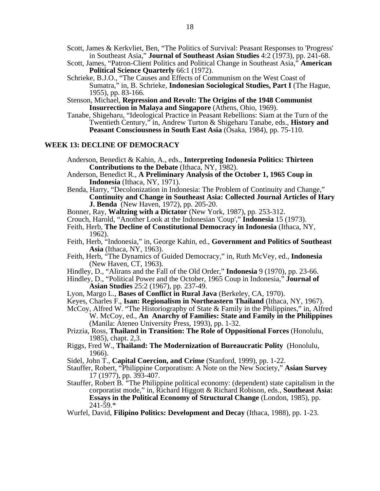Scott, James & Kerkvliet, Ben, "The Politics of Survival: Peasant Responses to 'Progress' in Southeast Asia," **Journal of Southeast Asian Studies** 4:2 (1973), pp. 241-68.

- Scott, James, "Patron-Client Politics and Political Change in Southeast Asia," **American Political Science Quarterly** 66:1 (1972).
- Schrieke, B.J.O., "The Causes and Effects of Communism on the West Coast of Sumatra," in, B. Schrieke, **Indonesian Sociological Studies, Part I** (The Hague, 1955), pp. 83-166.
- Stenson, Michael, **Repression and Revolt: The Origins of the 1948 Communist Insurrection in Malaya and Singapore** (Athens, Ohio, 1969).
- Tanabe, Shigeharu, "Ideological Practice in Peasant Rebellions: Siam at the Turn of the Twentieth Century," in, Andrew Turton & Shigeharu Tanabe, eds., **History and Peasant Consciousness in South East Asia (Osaka, 1984), pp. 75-110.**

#### **WEEK 13: DECLINE OF DEMOCRACY**

- Anderson, Benedict & Kahin, A., eds., **Interpreting Indonesia Politics: Thirteen Contributions to the Debate** (Ithaca, NY, 1982).
- Anderson, Benedict R., **A Preliminary Analysis of the October 1, 1965 Coup in Indonesia** (Ithaca, NY, 1971).
- Benda, Harry, "Decolonization in Indonesia: The Problem of Continuity and Change," **Continuity and Change in Southeast Asia: Collected Journal Articles of Hary J. Benda** (New Haven, 1972), pp. 205-20.
- Bonner, Ray, **Waltzing with a Dictator** (New York, 1987), pp. 253-312.
- Crouch, Harold, "Another Look at the Indonesian 'Coup'," **Indonesia** 15 (1973).
- Feith, Herb, **The Decline of Constitutional Democracy in Indonesia** (Ithaca, NY, 1962).
- Feith, Herb, "Indonesia," in, George Kahin, ed., **Government and Politics of Southeast Asia** (Ithaca, NY, 1963).
- Feith, Herb, "The Dynamics of Guided Democracy," in, Ruth McVey, ed., **Indonesia**  (New Haven, CT, 1963).
- Hindley, D., "Alirans and the Fall of the Old Order," **Indonesia** 9 (1970), pp. 23-66.
- Hindley, D., "Political Power and the October, 1965 Coup in Indonesia," **Journal of Asian Studies** 25:2 (1967), pp. 237-49.
- Lyon, Margo L., **Bases of Conflict in Rural Java** (Berkeley, CA, 1970).
- Keyes, Charles F., **Isan: Regionalism in Northeastern Thailand** (Ithaca, NY, 1967).
- McCoy, Alfred W. "The Historiography of State & Family in the Philippines," in, Alfred W. McCoy, ed., **An Anarchy of Families: State and Family in the Philippines**  (Manila: Ateneo University Press, 1993), pp. 1-32.
- Prizzia, Ross, **Thailand in Transition: The Role of Oppositional Forces** (Honolulu, 1985), chapt. 2,3.
- Riggs, Fred W., **Thailand: The Modernization of Bureaucratic Polity** (Honolulu, 1966).
- Sidel, John T., **Capital Coercion, and Crime** (Stanford, 1999), pp. 1-22.
- Stauffer, Robert, "Philippine Corporatism: A Note on the New Society," **Asian Survey** 17 (1977), pp. 393-407.
- Stauffer, Robert B. "The Philippine political economy: (dependent) state capitalism in the corporatist mode," in, Richard Higgott & Richard Robison, eds., **Southeast Asia: Essays in the Political Economy of Structural Change** (London, 1985), pp.  $241 - 59.*$
- Wurfel, David, **Filipino Politics: Development and Decay** (Ithaca, 1988), pp. 1-23.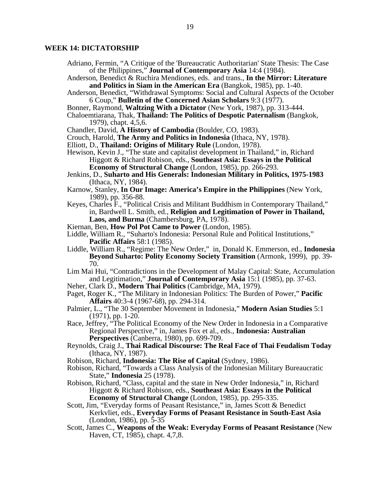#### **WEEK 14: DICTATORSHIP**

- Adriano, Fermin, "A Critique of the 'Bureaucratic Authoritarian' State Thesis: The Case of the Philippines," **Journal of Contemporary Asia** 14:4 (1984).
- Anderson, Benedict & Ruchira Mendiones, eds. and trans., **In the Mirror: Literature and Politics in Siam in the American Era** (Bangkok, 1985), pp. 1-40.
- Anderson, Benedict, "Withdrawal Symptoms: Social and Cultural Aspects of the October 6 Coup," **Bulletin of the Concerned Asian Scholars** 9:3 (1977).
- Bonner, Raymond, **Waltzing With a Dictator** (New York, 1987), pp. 313-444.
- Chaloemtiarana, Thak, **Thailand: The Politics of Despotic Paternalism** (Bangkok, 1979), chapt. 4,5,6.
- Chandler, David, **A History of Cambodia** (Boulder, CO, 1983).
- Crouch, Harold, **The Army and Politics in Indonesia** (Ithaca, NY, 1978).
- Elliott, D., **Thailand: Origins of Military Rule** (London, 1978).
- Hewison, Kevin J., "The state and capitalist development in Thailand," in, Richard Higgott & Richard Robison, eds., **Southeast Asia: Essays in the Political** 
	- **Economy of Structural Change** (London, 1985), pp. 266-293.
- Jenkins, D., **Suharto and His Generals: Indonesian Military in Politics, 1975-1983**  (Ithaca, NY, 1984).
- Karnow, Stanley, **In Our Image: America's Empire in the Philippines** (New York, 1989), pp. 356-88.
- Keyes, Charles F., "Political Crisis and Militant Buddhism in Contemporary Thailand," in, Bardwell L. Smith, ed., **Religion and Legitimation of Power in Thailand, Laos, and Burma** (Chambersburg, PA, 1978).
- Kiernan, Ben, **How Pol Pot Came to Power** (London, 1985).
- Liddle, William R., "Suharto's Indonesia: Personal Rule and Political Institutions," **Pacific Affairs** 58:1 (1985).
- Liddle, William R., "Regime: The New Order," in, Donald K. Emmerson, ed., **Indonesia Beyond Suharto: Polity Economy Society Transition** (Armonk, 1999), pp. 39- 70.
- Lim Mai Hui, "Contradictions in the Development of Malay Capital: State, Accumulation and Legitimation," **Journal of Contemporary Asia** 15:1 (1985), pp. 37-63.
- Neher, Clark D., **Modern Thai Politics** (Cambridge, MA, 1979).
- Paget, Roger K., "The Military in Indonesian Politics: The Burden of Power," **Pacific Affairs** 40:3-4 (1967-68), pp. 294-314.
- Palmier, L., "The 30 September Movement in Indonesia," **Modern Asian Studies** 5:1 (1971), pp. 1-20.
- Race, Jeffrey, "The Political Economy of the New Order in Indonesia in a Comparative Regional Perspective," in, James Fox et al., eds., **Indonesia: Australian Perspectives** (Canberra, 1980), pp. 699-709.
- Reynolds, Craig J., **Thai Radical Discourse: The Real Face of Thai Feudalism Today**   $U_{\text{B}}$ ,  $U_{\text{H}}$ ,  $V_{\text{B}}$ ,  $V_{\text{B}}$ ,  $V_{\text{B}}$ ,  $V_{\text{B}}$ ,  $V_{\text{B}}$ ,  $V_{\text{B}}$ ,  $V_{\text{B}}$
- Robison, Richard, **Indonesia: The Rise of Capital** (Sydney, 1986).
- Robison, Richard, "Towards a Class Analysis of the Indonesian Military Bureaucratic State," **Indonesia** 25 (1978).
- Robison, Richard, "Class, capital and the state in New Order Indonesia," in, Richard Higgott & Richard Robison, eds., **Southeast Asia: Essays in the Political Economy of Structural Change** (London, 1985), pp. 295-335.
- Scott, Jim, "Everyday forms of Peasant Resistance," in, James Scott & Benedict Kerkvliet, eds., **Everyday Forms of Peasant Resistance in South-East Asia**  (London, 1986), pp. 5-35
- Scott, James C., **Weapons of the Weak: Everyday Forms of Peasant Resistance** (New Haven, CT, 1985), chapt. 4,7,8.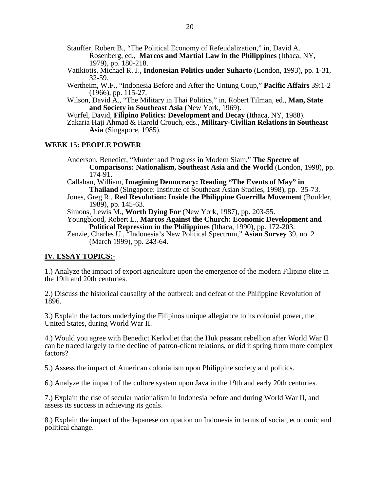Stauffer, Robert B., "The Political Economy of Refeudalization," in, David A. Rosenberg, ed., **Marcos and Martial Law in the Philippines** (Ithaca, NY, 1979), pp. 180-218.

- Vatikiotis, Michael R. J., **Indonesian Politics under Suharto** (London, 1993), pp. 1-31, 32-59.
- Wertheim, W.F., "Indonesia Before and After the Untung Coup," **Pacific Affairs** 39:1-2 (1966), pp. 115-27.
- Wilson, David A., "The Military in Thai Politics," in, Robert Tilman, ed., **Man, State and Society in Southeast Asia** (New York, 1969).
- Wurfel, David, **Filipino Politics: Development and Decay** (Ithaca, NY, 1988).
- Zakaria Haji Ahmad & Harold Crouch, eds., **Military-Civilian Relations in Southeast Asia** (Singapore, 1985).

#### **WEEK 15: PEOPLE POWER**

Anderson, Benedict, "Murder and Progress in Modern Siam," **The Spectre of Comparisons: Nationalism, Southeast Asia and the World** (London, 1998), pp. 174-91.

Callahan, William, **Imagining Democracy: Reading "The Events of May" in Thailand** (Singapore: Institute of Southeast Asian Studies, 1998), pp. 35-73.

Jones, Greg R., **Red Revolution: Inside the Philippine Guerrilla Movement** (Boulder, 1989), pp. 145-63.

Simons, Lewis M., **Worth Dying For** (New York, 1987), pp. 203-55.

Youngblood, Robert L., **Marcos Against the Church: Economic Development and Political Repression in the Philippines** (Ithaca, 1990), pp. 172-203.

Zenzie, Charles U., "Indonesia's New Political Spectrum," **Asian Survey** 39, no. 2 (March 1999), pp. 243-64.

#### **IV. ESSAY TOPICS:-**

1.) Analyze the impact of export agriculture upon the emergence of the modern Filipino elite in the 19th and 20th centuries.

2.) Discuss the historical causality of the outbreak and defeat of the Philippine Revolution of 1896.

3.) Explain the factors underlying the Filipinos unique allegiance to its colonial power, the United States, during World War II.

4.) Would you agree with Benedict Kerkvliet that the Huk peasant rebellion after World War II can be traced largely to the decline of patron-client relations, or did it spring from more complex factors?

5.) Assess the impact of American colonialism upon Philippine society and politics.

6.) Analyze the impact of the culture system upon Java in the 19th and early 20th centuries.

7.) Explain the rise of secular nationalism in Indonesia before and during World War II, and assess its success in achieving its goals.

8.) Explain the impact of the Japanese occupation on Indonesia in terms of social, economic and political change.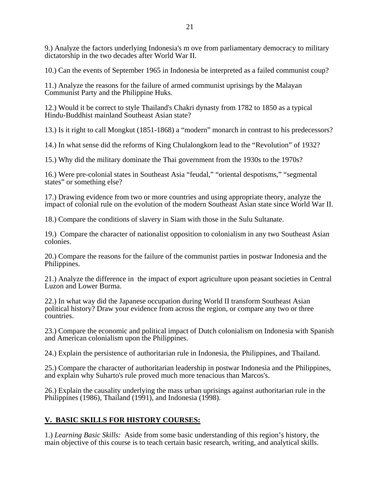9.) Analyze the factors underlying Indonesia's m ove from parliamentary democracy to military dictatorship in the two decades after World War II.

10.) Can the events of September 1965 in Indonesia be interpreted as a failed communist coup?

11.) Analyze the reasons for the failure of armed communist uprisings by the Malayan Communist Party and the Philippine Huks.

12.) Would it be correct to style Thailand's Chakri dynasty from 1782 to 1850 as a typical Hindu-Buddhist mainland Southeast Asian state?

13.) Is it right to call Mongkut (1851-1868) a "modern" monarch in contrast to his predecessors?

14.) In what sense did the reforms of King Chulalongkorn lead to the "Revolution" of 1932?

15.) Why did the military dominate the Thai government from the 1930s to the 1970s?

16.) Were pre-colonial states in Southeast Asia "feudal," "oriental despotisms," "segmental states" or something else?

17.) Drawing evidence from two or more countries and using appropriate theory, analyze the impact of colonial rule on the evolution of the modern Southeast Asian state since World War II.

18.) Compare the conditions of slavery in Siam with those in the Sulu Sultanate.

19.) Compare the character of nationalist opposition to colonialism in any two Southeast Asian colonies.

20.) Compare the reasons for the failure of the communist parties in postwar Indonesia and the Philippines.

21.) Analyze the difference in the impact of export agriculture upon peasant societies in Central Luzon and Lower Burma.

22.) In what way did the Japanese occupation during World II transform Southeast Asian political history? Draw your evidence from across the region, or compare any two or three countries.

23.) Compare the economic and political impact of Dutch colonialism on Indonesia with Spanish and American colonialism upon the Philippines.

24.) Explain the persistence of authoritarian rule in Indonesia, the Philippines, and Thailand.

25.) Compare the character of authoritarian leadership in postwar Indonesia and the Philippines, and explain why Suharto's rule proved much more tenacious than Marcos's.

26.) Explain the causality underlying the mass urban uprisings against authoritarian rule in the Philippines (1986), Thailand (1991), and Indonesia (1998).

### **V. BASIC SKILLS FOR HISTORY COURSES:**

1.) *Learning Basic Skills:* Aside from some basic understanding of this region's history, the main objective of this course is to teach certain basic research, writing, and analytical skills.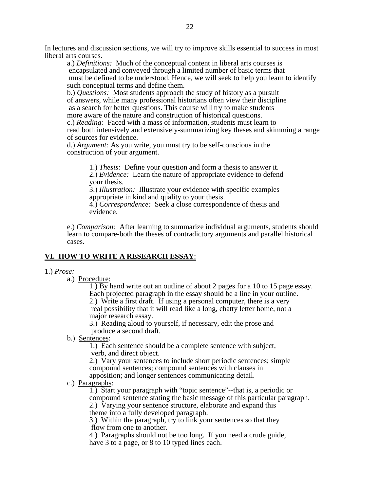In lectures and discussion sections, we will try to improve skills essential to success in most liberal arts courses.

a.) *Definitions:* Much of the conceptual content in liberal arts courses is encapsulated and conveyed through a limited number of basic terms that must be defined to be understood. Hence, we will seek to help you learn to identify such conceptual terms and define them.

b.) *Questions:* Most students approach the study of history as a pursuit of answers, while many professional historians often view their discipline as a search for better questions. This course will try to make students more aware of the nature and construction of historical questions. c.) *Reading:* Faced with a mass of information, students must learn to read both intensively and extensively-summarizing key theses and skimming a range

of sources for evidence.

d.) *Argument:* As you write, you must try to be self-conscious in the construction of your argument.

> 1.) *Thesis:* Define your question and form a thesis to answer it. 2.) *Evidence:* Learn the nature of appropriate evidence to defend your thesis.

3.) *Illustration:* Illustrate your evidence with specific examples appropriate in kind and quality to your thesis.

4.) *Correspondence:* Seek a close correspondence of thesis and evidence.

e.) *Comparison:* After learning to summarize individual arguments, students should learn to compare-both the theses of contradictory arguments and parallel historical cases.

### **VI. HOW TO WRITE A RESEARCH ESSAY**:

#### 1.) *Prose:*

a.) Procedure:

1.) By hand write out an outline of about 2 pages for a 10 to 15 page essay. Each projected paragraph in the essay should be a line in your outline.

2.) Write a first draft. If using a personal computer, there is a very real possibility that it will read like a long, chatty letter home, not a major research essay.

3.) Reading aloud to yourself, if necessary, edit the prose and produce a second draft.

b.) Sentences:

1.) Each sentence should be a complete sentence with subject, verb, and direct object.

2.) Vary your sentences to include short periodic sentences; simple compound sentences; compound sentences with clauses in apposition; and longer sentences communicating detail.

c.) Paragraphs:

1.) Start your paragraph with "topic sentence"--that is, a periodic or compound sentence stating the basic message of this particular paragraph. 2.) Varying your sentence structure, elaborate and expand this theme into a fully developed paragraph.

3.) Within the paragraph, try to link your sentences so that they flow from one to another.

4.) Paragraphs should not be too long. If you need a crude guide, have 3 to a page, or 8 to 10 typed lines each.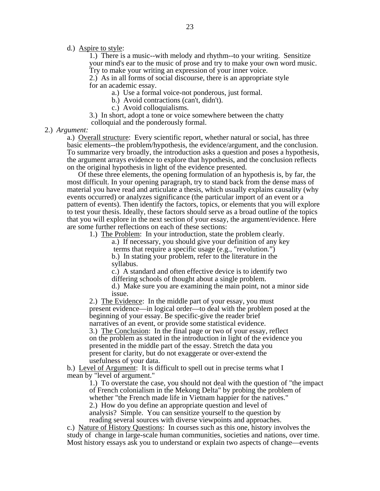d.) Aspire to style:

1.) There is a music--with melody and rhythm--to your writing. Sensitize your mind's ear to the music of prose and try to make your own word music. Try to make your writing an expression of your inner voice.

2.) As in all forms of social discourse, there is an appropriate style for an academic essay.

a.) Use a formal voice-not ponderous, just formal.

b.) Avoid contractions (can't, didn't).

c.) Avoid colloquialisms.

3.) In short, adopt a tone or voice somewhere between the chatty colloquial and the ponderously formal.

2.) *Argument:* 

a.) Overall structure: Every scientific report, whether natural or social, has three basic elements--the problem/hypothesis, the evidence/argument, and the conclusion. To summarize very broadly, the introduction asks a question and poses a hypothesis, the argument arrays evidence to explore that hypothesis, and the conclusion reflects on the original hypothesis in light of the evidence presented.

 Of these three elements, the opening formulation of an hypothesis is, by far, the most difficult. In your opening paragraph, try to stand back from the dense mass of material you have read and articulate a thesis, which usually explains causality (why events occurred) or analyzes significance (the particular import of an event or a pattern of events). Then identify the factors, topics, or elements that you will explore to test your thesis. Ideally, these factors should serve as a broad outline of the topics that you will explore in the next section of your essay, the argument/evidence. Here are some further reflections on each of these sections:

1.) The Problem: In your introduction, state the problem clearly.

a.) If necessary, you should give your definition of any key terms that require a specific usage (e.g., "revolution.")

b.) In stating your problem, refer to the literature in the syllabus.

c.) A standard and often effective device is to identify two differing schools of thought about a single problem.

d.) Make sure you are examining the main point, not a minor side issue.

2.) The Evidence: In the middle part of your essay, you must present evidence—in logical order—to deal with the problem posed at the beginning of your essay. Be specific-give the reader brief narratives of an event, or provide some statistical evidence.

3.) The Conclusion: In the final page or two of your essay, reflect on the problem as stated in the introduction in light of the evidence you presented in the middle part of the essay. Stretch the data you present for clarity, but do not exaggerate or over-extend the usefulness of your data.

b.) Level of Argument: It is difficult to spell out in precise terms what I mean by "level of argument."

> 1.) To overstate the case, you should not deal with the question of "the impact of French colonialism in the Mekong Delta" by probing the problem of whether "the French made life in Vietnam happier for the natives." 2.) How do you define an appropriate question and level of analysis? Simple. You can sensitize yourself to the question by reading several sources with diverse viewpoints and approaches.

c.) Nature of History Questions: In courses such as this one, history involves the study of change in large-scale human communities, societies and nations, over time. Most history essays ask you to understand or explain two aspects of change—events